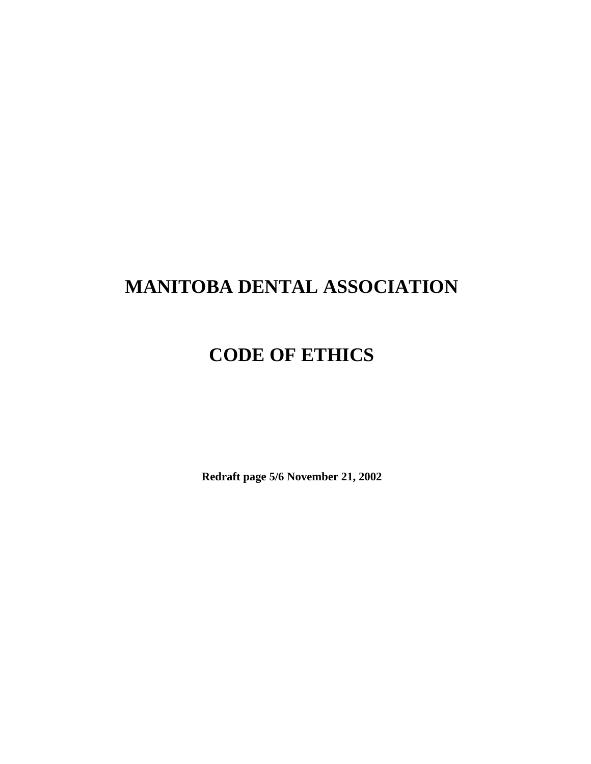# **MANITOBA DENTAL ASSOCIATION**

# **CODE OF ETHICS**

**Redraft page 5/6 November 21, 2002**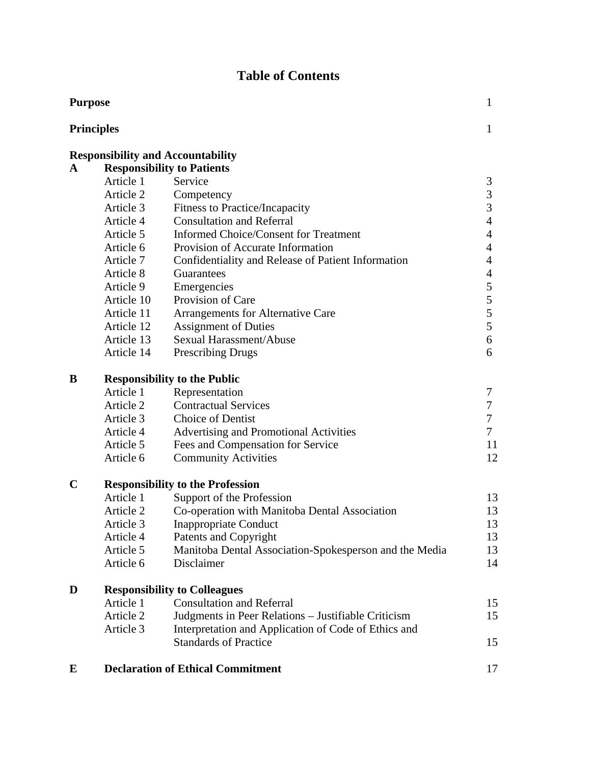## **Table of Contents**

|             | <b>Purpose</b>                          |                                                        |                          |  |
|-------------|-----------------------------------------|--------------------------------------------------------|--------------------------|--|
|             | <b>Principles</b>                       |                                                        |                          |  |
|             |                                         | <b>Responsibility and Accountability</b>               |                          |  |
| A           |                                         | <b>Responsibility to Patients</b>                      |                          |  |
|             | Article 1                               | Service                                                | 3                        |  |
|             | Article 2                               | Competency                                             | 3                        |  |
|             | Article 3                               | <b>Fitness to Practice/Incapacity</b>                  | $\overline{3}$           |  |
|             | Article 4                               | <b>Consultation and Referral</b>                       | $\overline{4}$           |  |
|             | Article 5                               | <b>Informed Choice/Consent for Treatment</b>           | $\overline{4}$           |  |
|             | Article 6                               | Provision of Accurate Information                      | 4                        |  |
|             | Article 7                               | Confidentiality and Release of Patient Information     | 4                        |  |
|             | Article 8                               | Guarantees                                             | $\overline{\mathcal{L}}$ |  |
|             | Article 9                               | Emergencies                                            | 5                        |  |
|             | Article 10                              | Provision of Care                                      | 5                        |  |
|             | Article 11                              | Arrangements for Alternative Care                      | 5                        |  |
|             | Article 12                              | <b>Assignment of Duties</b>                            | 5                        |  |
|             | Article 13                              | Sexual Harassment/Abuse                                | 6                        |  |
|             | Article 14                              | <b>Prescribing Drugs</b>                               | 6                        |  |
| B           | <b>Responsibility to the Public</b>     |                                                        |                          |  |
|             | Article 1                               | Representation                                         | 7                        |  |
|             | Article 2                               | <b>Contractual Services</b>                            | 7                        |  |
|             | Article 3                               | <b>Choice of Dentist</b>                               | 7                        |  |
|             | Article 4                               | Advertising and Promotional Activities                 | $\overline{7}$           |  |
|             | Article 5                               | Fees and Compensation for Service                      | 11                       |  |
|             | Article 6                               | <b>Community Activities</b>                            | 12                       |  |
| $\mathbf C$ | <b>Responsibility to the Profession</b> |                                                        |                          |  |
|             | Article 1                               | Support of the Profession                              | 13                       |  |
|             | Article 2                               | Co-operation with Manitoba Dental Association          | 13                       |  |
|             | Article 3                               | <b>Inappropriate Conduct</b>                           | 13                       |  |
|             | Article 4                               | Patents and Copyright                                  | 13                       |  |
|             | Article 5                               | Manitoba Dental Association-Spokesperson and the Media | 13                       |  |
|             | Article 6                               | Disclaimer                                             | 14                       |  |
| D           | <b>Responsibility to Colleagues</b>     |                                                        |                          |  |
|             | Article 1                               | <b>Consultation and Referral</b>                       | 15                       |  |
|             | Article 2                               | Judgments in Peer Relations – Justifiable Criticism    | 15                       |  |
|             | Article 3                               | Interpretation and Application of Code of Ethics and   |                          |  |
|             |                                         | <b>Standards of Practice</b>                           | 15                       |  |
| E           |                                         | <b>Declaration of Ethical Commitment</b>               | 17                       |  |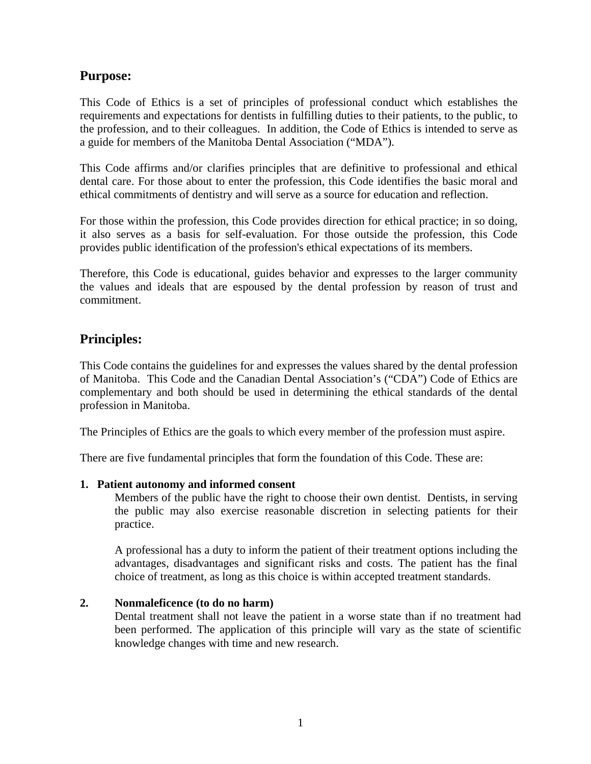## **Purpose:**

This Code of Ethics is a set of principles of professional conduct which establishes the requirements and expectations for dentists in fulfilling duties to their patients, to the public, to the profession, and to their colleagues. In addition, the Code of Ethics is intended to serve as a guide for members of the Manitoba Dental Association ("MDA").

This Code affirms and/or clarifies principles that are definitive to professional and ethical dental care. For those about to enter the profession, this Code identifies the basic moral and ethical commitments of dentistry and will serve as a source for education and reflection.

For those within the profession, this Code provides direction for ethical practice; in so doing, it also serves as a basis for self-evaluation. For those outside the profession, this Code provides public identification of the profession's ethical expectations of its members.

Therefore, this Code is educational, guides behavior and expresses to the larger community the values and ideals that are espoused by the dental profession by reason of trust and commitment.

## **Principles:**

This Code contains the guidelines for and expresses the values shared by the dental profession of Manitoba. This Code and the Canadian Dental Association's ("CDA") Code of Ethics are complementary and both should be used in determining the ethical standards of the dental profession in Manitoba.

The Principles of Ethics are the goals to which every member of the profession must aspire.

There are five fundamental principles that form the foundation of this Code. These are:

#### **1. Patient autonomy and informed consent**

Members of the public have the right to choose their own dentist. Dentists, in serving the public may also exercise reasonable discretion in selecting patients for their practice.

A professional has a duty to inform the patient of their treatment options including the advantages, disadvantages and significant risks and costs. The patient has the final choice of treatment, as long as this choice is within accepted treatment standards.

#### **2. Nonmaleficence (to do no harm)**

Dental treatment shall not leave the patient in a worse state than if no treatment had been performed. The application of this principle will vary as the state of scientific knowledge changes with time and new research.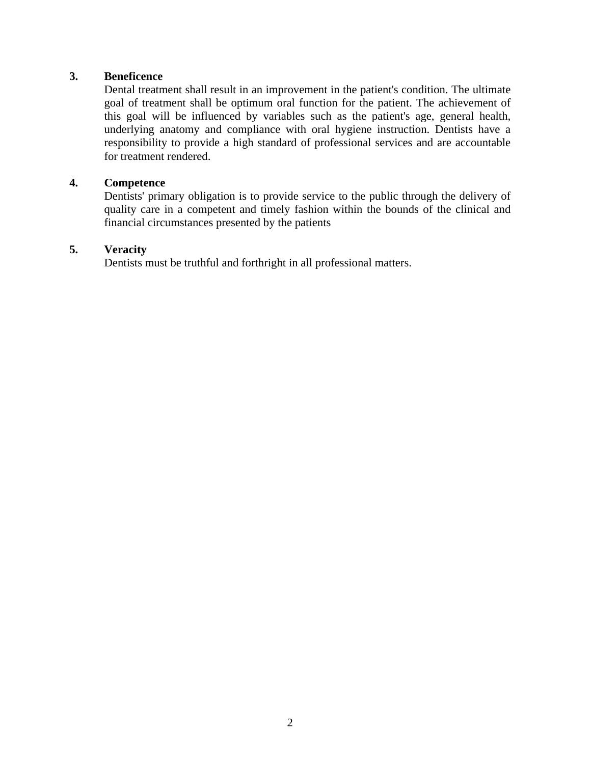#### **3. Beneficence**

Dental treatment shall result in an improvement in the patient's condition. The ultimate goal of treatment shall be optimum oral function for the patient. The achievement of this goal will be influenced by variables such as the patient's age, general health, underlying anatomy and compliance with oral hygiene instruction. Dentists have a responsibility to provide a high standard of professional services and are accountable for treatment rendered.

#### **4. Competence**

Dentists' primary obligation is to provide service to the public through the delivery of quality care in a competent and timely fashion within the bounds of the clinical and financial circumstances presented by the patients

#### **5. Veracity**

Dentists must be truthful and forthright in all professional matters.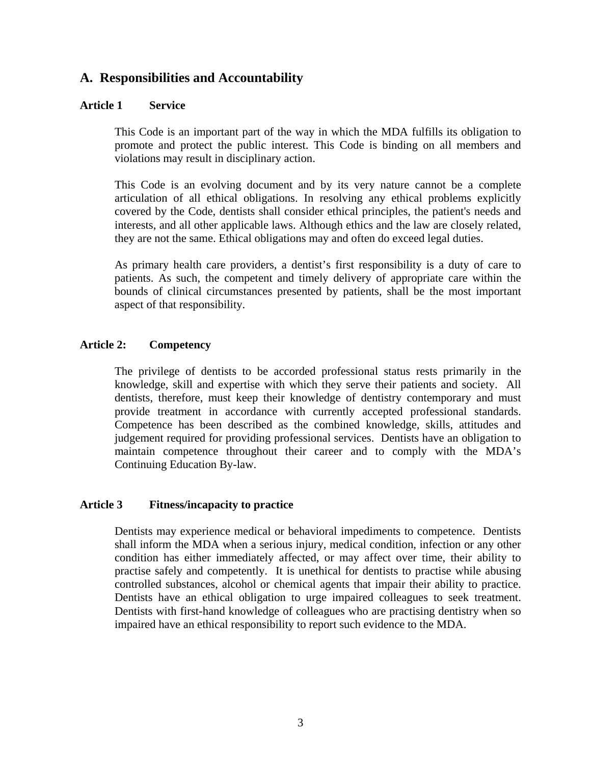## **A. Responsibilities and Accountability**

#### **Article 1 Service**

This Code is an important part of the way in which the MDA fulfills its obligation to promote and protect the public interest. This Code is binding on all members and violations may result in disciplinary action.

This Code is an evolving document and by its very nature cannot be a complete articulation of all ethical obligations. In resolving any ethical problems explicitly covered by the Code, dentists shall consider ethical principles, the patient's needs and interests, and all other applicable laws. Although ethics and the law are closely related, they are not the same. Ethical obligations may and often do exceed legal duties.

As primary health care providers, a dentist's first responsibility is a duty of care to patients. As such, the competent and timely delivery of appropriate care within the bounds of clinical circumstances presented by patients, shall be the most important aspect of that responsibility.

#### **Article 2: Competency**

The privilege of dentists to be accorded professional status rests primarily in the knowledge, skill and expertise with which they serve their patients and society. All dentists, therefore, must keep their knowledge of dentistry contemporary and must provide treatment in accordance with currently accepted professional standards. Competence has been described as the combined knowledge, skills, attitudes and judgement required for providing professional services. Dentists have an obligation to maintain competence throughout their career and to comply with the MDA's Continuing Education By-law.

#### **Article 3 Fitness/incapacity to practice**

Dentists may experience medical or behavioral impediments to competence. Dentists shall inform the MDA when a serious injury, medical condition, infection or any other condition has either immediately affected, or may affect over time, their ability to practise safely and competently. It is unethical for dentists to practise while abusing controlled substances, alcohol or chemical agents that impair their ability to practice. Dentists have an ethical obligation to urge impaired colleagues to seek treatment. Dentists with first-hand knowledge of colleagues who are practising dentistry when so impaired have an ethical responsibility to report such evidence to the MDA.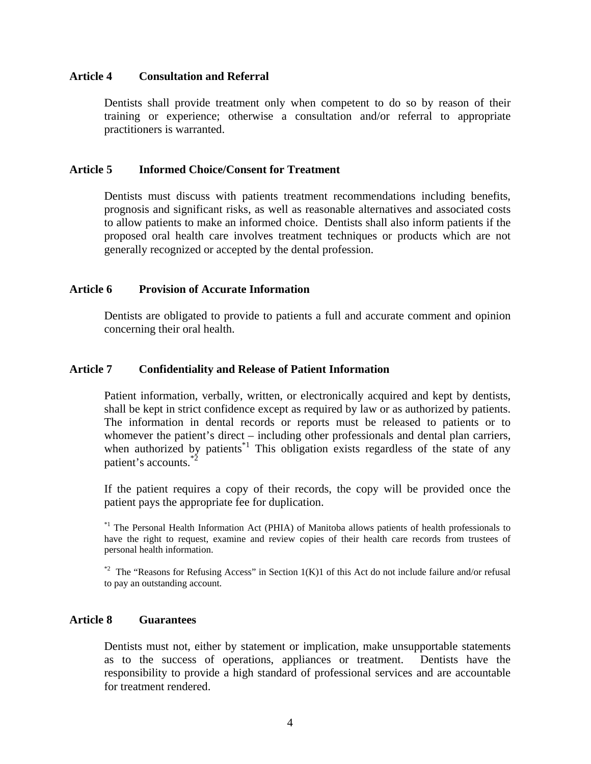#### **Article 4 Consultation and Referral**

Dentists shall provide treatment only when competent to do so by reason of their training or experience; otherwise a consultation and/or referral to appropriate practitioners is warranted.

#### **Article 5 Informed Choice/Consent for Treatment**

Dentists must discuss with patients treatment recommendations including benefits, prognosis and significant risks, as well as reasonable alternatives and associated costs to allow patients to make an informed choice. Dentists shall also inform patients if the proposed oral health care involves treatment techniques or products which are not generally recognized or accepted by the dental profession.

#### **Article 6 Provision of Accurate Information**

Dentists are obligated to provide to patients a full and accurate comment and opinion concerning their oral health.

#### **Article 7 Confidentiality and Release of Patient Information**

Patient information, verbally, written, or electronically acquired and kept by dentists, shall be kept in strict confidence except as required by law or as authorized by patients. The information in dental records or reports must be released to patients or to whomever the patient's direct – including other professionals and dental plan carriers, when authorized by patients<sup> $*1$ </sup> This obligation exists regardless of the state of any patient's accounts.\*2

If the patient requires a copy of their records, the copy will be provided once the patient pays the appropriate fee for duplication.

<sup>\*1</sup> The Personal Health Information Act (PHIA) of Manitoba allows patients of health professionals to have the right to request, examine and review copies of their health care records from trustees of personal health information.

 $*2$  The "Reasons for Refusing Access" in Section 1(K)1 of this Act do not include failure and/or refusal to pay an outstanding account.

#### **Article 8 Guarantees**

Dentists must not, either by statement or implication, make unsupportable statements as to the success of operations, appliances or treatment. Dentists have the responsibility to provide a high standard of professional services and are accountable for treatment rendered.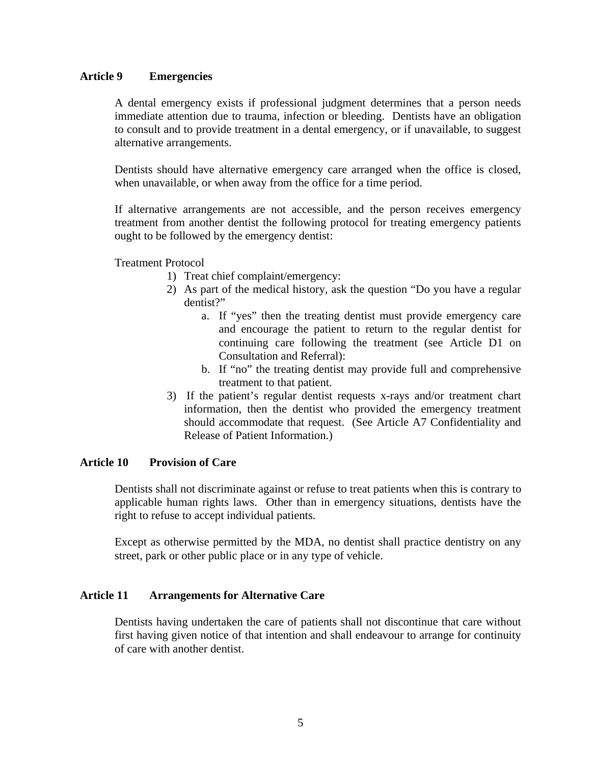#### **Article 9 Emergencies**

A dental emergency exists if professional judgment determines that a person needs immediate attention due to trauma, infection or bleeding. Dentists have an obligation to consult and to provide treatment in a dental emergency, or if unavailable, to suggest alternative arrangements.

Dentists should have alternative emergency care arranged when the office is closed, when unavailable, or when away from the office for a time period.

If alternative arrangements are not accessible, and the person receives emergency treatment from another dentist the following protocol for treating emergency patients ought to be followed by the emergency dentist:

Treatment Protocol

- 1) Treat chief complaint/emergency:
- 2) As part of the medical history, ask the question "Do you have a regular dentist?"
	- a. If "yes" then the treating dentist must provide emergency care and encourage the patient to return to the regular dentist for continuing care following the treatment (see Article D1 on Consultation and Referral):
	- b. If "no" the treating dentist may provide full and comprehensive treatment to that patient.
- 3) If the patient's regular dentist requests x-rays and/or treatment chart information, then the dentist who provided the emergency treatment should accommodate that request. (See Article A7 Confidentiality and Release of Patient Information.)

#### **Article 10 Provision of Care**

Dentists shall not discriminate against or refuse to treat patients when this is contrary to applicable human rights laws. Other than in emergency situations, dentists have the right to refuse to accept individual patients.

Except as otherwise permitted by the MDA, no dentist shall practice dentistry on any street, park or other public place or in any type of vehicle.

#### **Article 11 Arrangements for Alternative Care**

Dentists having undertaken the care of patients shall not discontinue that care without first having given notice of that intention and shall endeavour to arrange for continuity of care with another dentist.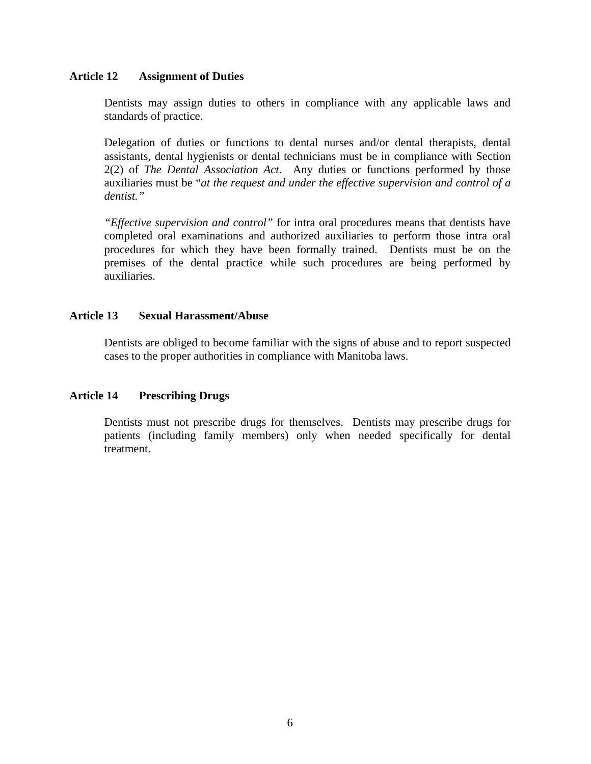#### **Article 12 Assignment of Duties**

Dentists may assign duties to others in compliance with any applicable laws and standards of practice.

Delegation of duties or functions to dental nurses and/or dental therapists, dental assistants, dental hygienists or dental technicians must be in compliance with Section 2(2) of *The Dental Association Act.* Any duties or functions performed by those auxiliaries must be "*at the request and under the effective supervision and control of a dentist."* 

*"Effective supervision and control"* for intra oral procedures means that dentists have completed oral examinations and authorized auxiliaries to perform those intra oral procedures for which they have been formally trained. Dentists must be on the premises of the dental practice while such procedures are being performed by auxiliaries.

#### **Article 13 Sexual Harassment/Abuse**

Dentists are obliged to become familiar with the signs of abuse and to report suspected cases to the proper authorities in compliance with Manitoba laws.

#### **Article 14 Prescribing Drugs**

Dentists must not prescribe drugs for themselves. Dentists may prescribe drugs for patients (including family members) only when needed specifically for dental treatment.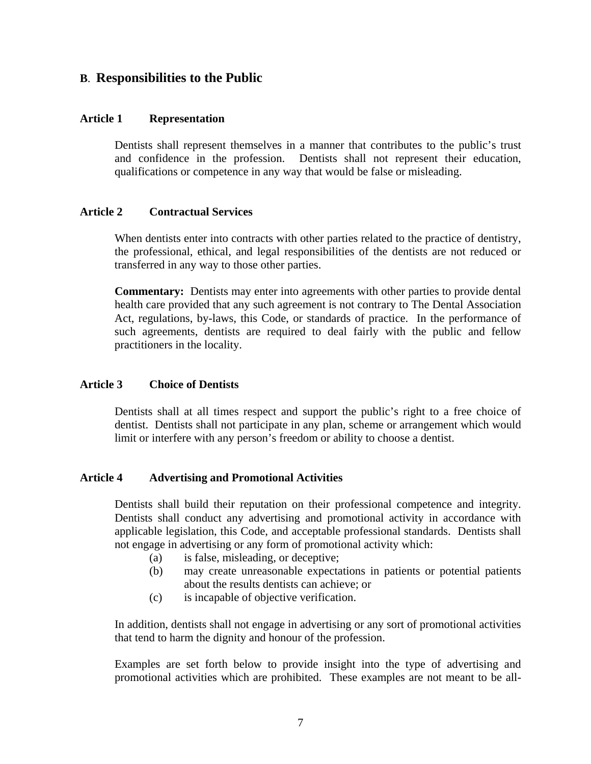### **B**. **Responsibilities to the Public**

#### **Article 1 Representation**

Dentists shall represent themselves in a manner that contributes to the public's trust and confidence in the profession. Dentists shall not represent their education, qualifications or competence in any way that would be false or misleading.

#### **Article 2 Contractual Services**

When dentists enter into contracts with other parties related to the practice of dentistry, the professional, ethical, and legal responsibilities of the dentists are not reduced or transferred in any way to those other parties.

**Commentary:** Dentists may enter into agreements with other parties to provide dental health care provided that any such agreement is not contrary to The Dental Association Act, regulations, by-laws, this Code, or standards of practice. In the performance of such agreements, dentists are required to deal fairly with the public and fellow practitioners in the locality.

#### **Article 3 Choice of Dentists**

Dentists shall at all times respect and support the public's right to a free choice of dentist. Dentists shall not participate in any plan, scheme or arrangement which would limit or interfere with any person's freedom or ability to choose a dentist.

#### **Article 4 Advertising and Promotional Activities**

Dentists shall build their reputation on their professional competence and integrity. Dentists shall conduct any advertising and promotional activity in accordance with applicable legislation, this Code, and acceptable professional standards. Dentists shall not engage in advertising or any form of promotional activity which:

- (a) is false, misleading, or deceptive;
- (b) may create unreasonable expectations in patients or potential patients about the results dentists can achieve; or
- (c) is incapable of objective verification.

In addition, dentists shall not engage in advertising or any sort of promotional activities that tend to harm the dignity and honour of the profession.

Examples are set forth below to provide insight into the type of advertising and promotional activities which are prohibited. These examples are not meant to be all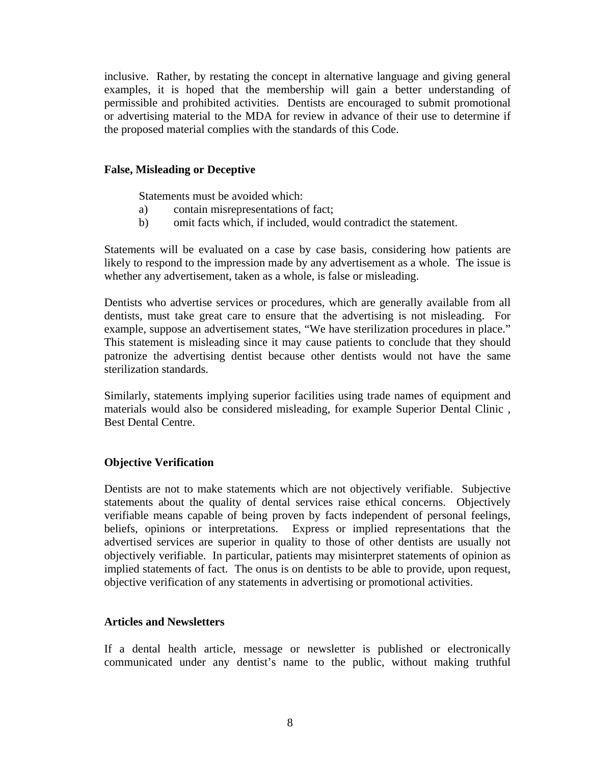inclusive. Rather, by restating the concept in alternative language and giving general examples, it is hoped that the membership will gain a better understanding of permissible and prohibited activities. Dentists are encouraged to submit promotional or advertising material to the MDA for review in advance of their use to determine if the proposed material complies with the standards of this Code.

#### **False, Misleading or Deceptive**

Statements must be avoided which:

- a) contain misrepresentations of fact;
- b) omit facts which, if included, would contradict the statement.

Statements will be evaluated on a case by case basis, considering how patients are likely to respond to the impression made by any advertisement as a whole. The issue is whether any advertisement, taken as a whole, is false or misleading.

Dentists who advertise services or procedures, which are generally available from all dentists, must take great care to ensure that the advertising is not misleading. For example, suppose an advertisement states, "We have sterilization procedures in place." This statement is misleading since it may cause patients to conclude that they should patronize the advertising dentist because other dentists would not have the same sterilization standards.

Similarly, statements implying superior facilities using trade names of equipment and materials would also be considered misleading, for example Superior Dental Clinic , Best Dental Centre.

#### **Objective Verification**

Dentists are not to make statements which are not objectively verifiable. Subjective statements about the quality of dental services raise ethical concerns. Objectively verifiable means capable of being proven by facts independent of personal feelings, beliefs, opinions or interpretations. Express or implied representations that the advertised services are superior in quality to those of other dentists are usually not objectively verifiable. In particular, patients may misinterpret statements of opinion as implied statements of fact. The onus is on dentists to be able to provide, upon request, objective verification of any statements in advertising or promotional activities.

#### **Articles and Newsletters**

If a dental health article, message or newsletter is published or electronically communicated under any dentist's name to the public, without making truthful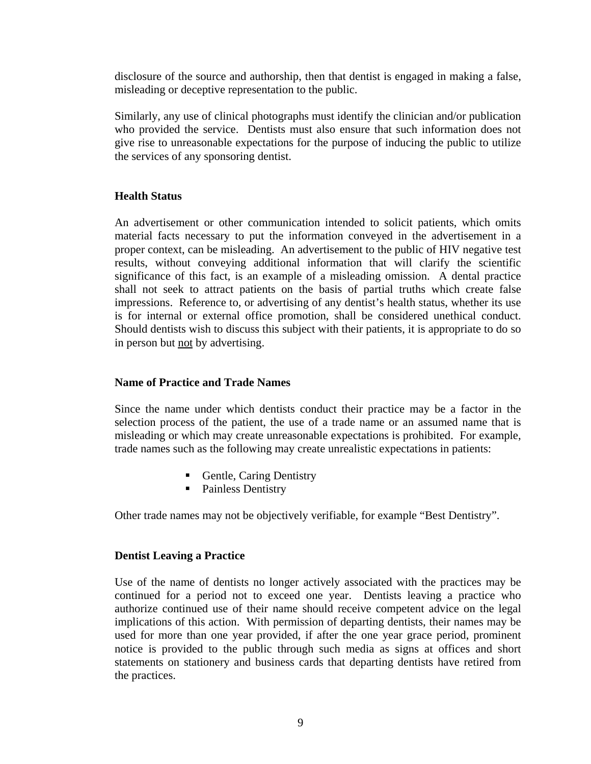disclosure of the source and authorship, then that dentist is engaged in making a false, misleading or deceptive representation to the public.

Similarly, any use of clinical photographs must identify the clinician and/or publication who provided the service. Dentists must also ensure that such information does not give rise to unreasonable expectations for the purpose of inducing the public to utilize the services of any sponsoring dentist.

#### **Health Status**

An advertisement or other communication intended to solicit patients, which omits material facts necessary to put the information conveyed in the advertisement in a proper context, can be misleading. An advertisement to the public of HIV negative test results, without conveying additional information that will clarify the scientific significance of this fact, is an example of a misleading omission. A dental practice shall not seek to attract patients on the basis of partial truths which create false impressions. Reference to, or advertising of any dentist's health status, whether its use is for internal or external office promotion, shall be considered unethical conduct. Should dentists wish to discuss this subject with their patients, it is appropriate to do so in person but not by advertising.

#### **Name of Practice and Trade Names**

Since the name under which dentists conduct their practice may be a factor in the selection process of the patient, the use of a trade name or an assumed name that is misleading or which may create unreasonable expectations is prohibited. For example, trade names such as the following may create unrealistic expectations in patients:

- **Gentle, Caring Dentistry**
- Painless Dentistry

Other trade names may not be objectively verifiable, for example "Best Dentistry".

#### **Dentist Leaving a Practice**

Use of the name of dentists no longer actively associated with the practices may be continued for a period not to exceed one year. Dentists leaving a practice who authorize continued use of their name should receive competent advice on the legal implications of this action. With permission of departing dentists, their names may be used for more than one year provided, if after the one year grace period, prominent notice is provided to the public through such media as signs at offices and short statements on stationery and business cards that departing dentists have retired from the practices.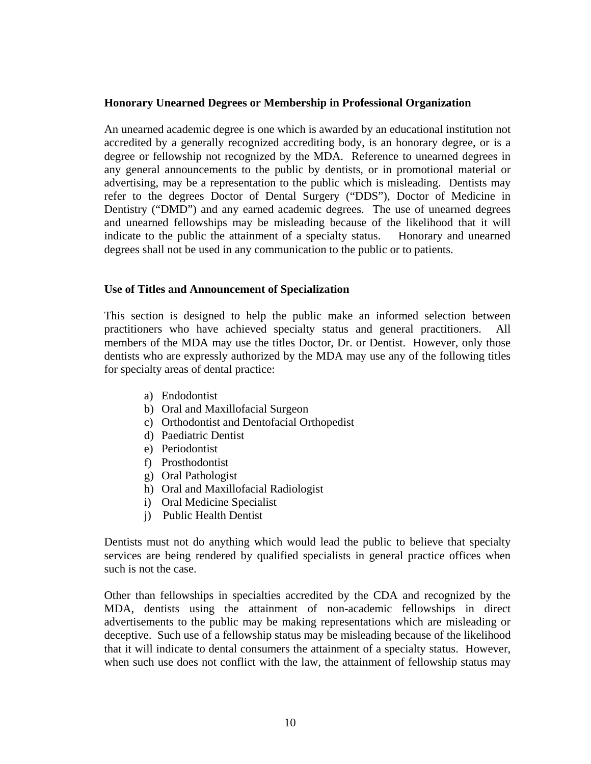#### **Honorary Unearned Degrees or Membership in Professional Organization**

An unearned academic degree is one which is awarded by an educational institution not accredited by a generally recognized accrediting body, is an honorary degree, or is a degree or fellowship not recognized by the MDA. Reference to unearned degrees in any general announcements to the public by dentists, or in promotional material or advertising, may be a representation to the public which is misleading. Dentists may refer to the degrees Doctor of Dental Surgery ("DDS"), Doctor of Medicine in Dentistry ("DMD") and any earned academic degrees. The use of unearned degrees and unearned fellowships may be misleading because of the likelihood that it will indicate to the public the attainment of a specialty status. Honorary and unearned degrees shall not be used in any communication to the public or to patients.

#### **Use of Titles and Announcement of Specialization**

This section is designed to help the public make an informed selection between practitioners who have achieved specialty status and general practitioners. All members of the MDA may use the titles Doctor, Dr. or Dentist. However, only those dentists who are expressly authorized by the MDA may use any of the following titles for specialty areas of dental practice:

- a) Endodontist
- b) Oral and Maxillofacial Surgeon
- c) Orthodontist and Dentofacial Orthopedist
- d) Paediatric Dentist
- e) Periodontist
- f) Prosthodontist
- g) Oral Pathologist
- h) Oral and Maxillofacial Radiologist
- i) Oral Medicine Specialist
- j) Public Health Dentist

Dentists must not do anything which would lead the public to believe that specialty services are being rendered by qualified specialists in general practice offices when such is not the case.

Other than fellowships in specialties accredited by the CDA and recognized by the MDA, dentists using the attainment of non-academic fellowships in direct advertisements to the public may be making representations which are misleading or deceptive. Such use of a fellowship status may be misleading because of the likelihood that it will indicate to dental consumers the attainment of a specialty status. However, when such use does not conflict with the law, the attainment of fellowship status may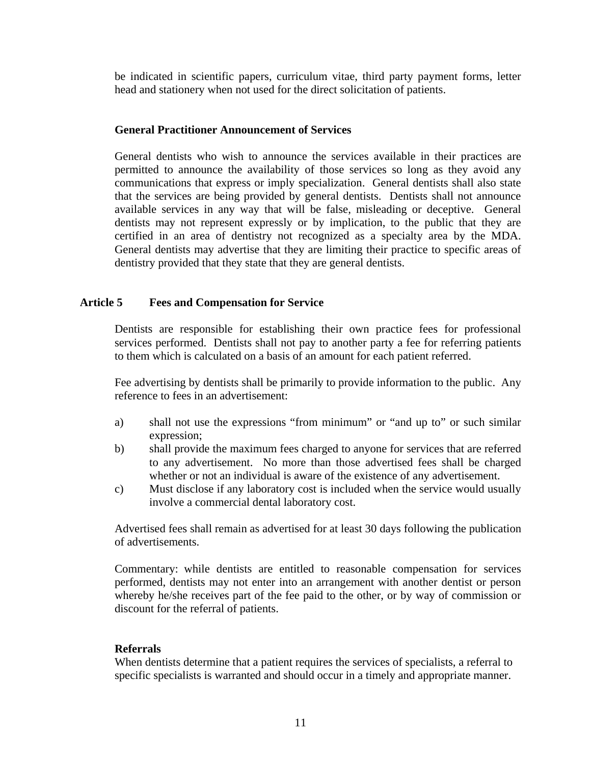be indicated in scientific papers, curriculum vitae, third party payment forms, letter head and stationery when not used for the direct solicitation of patients.

#### **General Practitioner Announcement of Services**

General dentists who wish to announce the services available in their practices are permitted to announce the availability of those services so long as they avoid any communications that express or imply specialization. General dentists shall also state that the services are being provided by general dentists. Dentists shall not announce available services in any way that will be false, misleading or deceptive. General dentists may not represent expressly or by implication, to the public that they are certified in an area of dentistry not recognized as a specialty area by the MDA. General dentists may advertise that they are limiting their practice to specific areas of dentistry provided that they state that they are general dentists.

#### **Article 5 Fees and Compensation for Service**

Dentists are responsible for establishing their own practice fees for professional services performed. Dentists shall not pay to another party a fee for referring patients to them which is calculated on a basis of an amount for each patient referred.

Fee advertising by dentists shall be primarily to provide information to the public. Any reference to fees in an advertisement:

- a) shall not use the expressions "from minimum" or "and up to" or such similar expression;
- b) shall provide the maximum fees charged to anyone for services that are referred to any advertisement. No more than those advertised fees shall be charged whether or not an individual is aware of the existence of any advertisement.
- c) Must disclose if any laboratory cost is included when the service would usually involve a commercial dental laboratory cost.

Advertised fees shall remain as advertised for at least 30 days following the publication of advertisements.

Commentary: while dentists are entitled to reasonable compensation for services performed, dentists may not enter into an arrangement with another dentist or person whereby he/she receives part of the fee paid to the other, or by way of commission or discount for the referral of patients.

#### **Referrals**

When dentists determine that a patient requires the services of specialists, a referral to specific specialists is warranted and should occur in a timely and appropriate manner.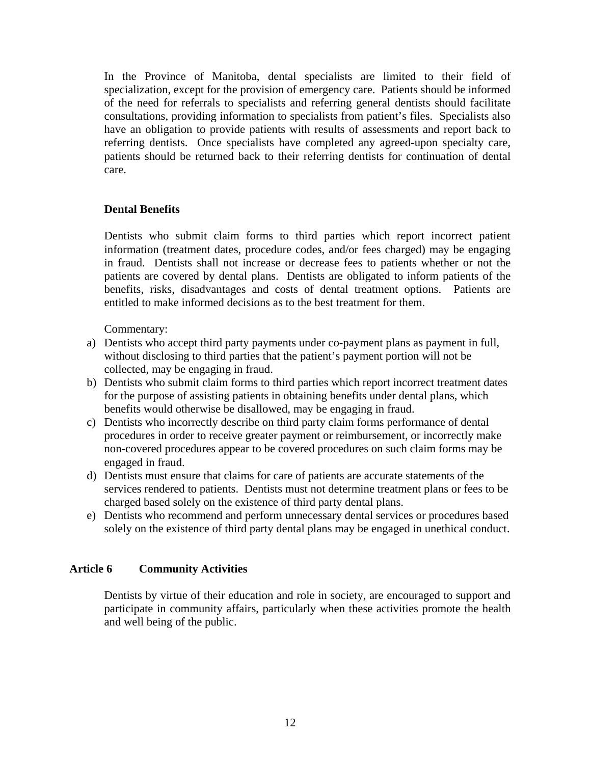In the Province of Manitoba, dental specialists are limited to their field of specialization, except for the provision of emergency care. Patients should be informed of the need for referrals to specialists and referring general dentists should facilitate consultations, providing information to specialists from patient's files. Specialists also have an obligation to provide patients with results of assessments and report back to referring dentists. Once specialists have completed any agreed-upon specialty care, patients should be returned back to their referring dentists for continuation of dental care.

#### **Dental Benefits**

Dentists who submit claim forms to third parties which report incorrect patient information (treatment dates, procedure codes, and/or fees charged) may be engaging in fraud. Dentists shall not increase or decrease fees to patients whether or not the patients are covered by dental plans. Dentists are obligated to inform patients of the benefits, risks, disadvantages and costs of dental treatment options. Patients are entitled to make informed decisions as to the best treatment for them.

Commentary:

- a) Dentists who accept third party payments under co-payment plans as payment in full, without disclosing to third parties that the patient's payment portion will not be collected, may be engaging in fraud.
- b) Dentists who submit claim forms to third parties which report incorrect treatment dates for the purpose of assisting patients in obtaining benefits under dental plans, which benefits would otherwise be disallowed, may be engaging in fraud.
- c) Dentists who incorrectly describe on third party claim forms performance of dental procedures in order to receive greater payment or reimbursement, or incorrectly make non-covered procedures appear to be covered procedures on such claim forms may be engaged in fraud.
- d) Dentists must ensure that claims for care of patients are accurate statements of the services rendered to patients. Dentists must not determine treatment plans or fees to be charged based solely on the existence of third party dental plans.
- e) Dentists who recommend and perform unnecessary dental services or procedures based solely on the existence of third party dental plans may be engaged in unethical conduct.

#### **Article 6 Community Activities**

Dentists by virtue of their education and role in society, are encouraged to support and participate in community affairs, particularly when these activities promote the health and well being of the public.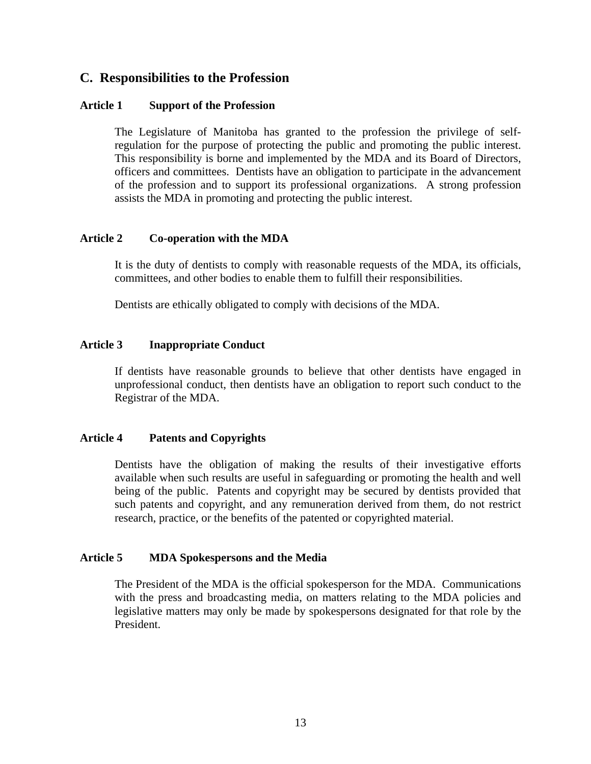## **C. Responsibilities to the Profession**

#### **Article 1 Support of the Profession**

The Legislature of Manitoba has granted to the profession the privilege of selfregulation for the purpose of protecting the public and promoting the public interest. This responsibility is borne and implemented by the MDA and its Board of Directors, officers and committees. Dentists have an obligation to participate in the advancement of the profession and to support its professional organizations. A strong profession assists the MDA in promoting and protecting the public interest.

#### **Article 2 Co-operation with the MDA**

It is the duty of dentists to comply with reasonable requests of the MDA, its officials, committees, and other bodies to enable them to fulfill their responsibilities.

Dentists are ethically obligated to comply with decisions of the MDA.

#### **Article 3 Inappropriate Conduct**

If dentists have reasonable grounds to believe that other dentists have engaged in unprofessional conduct, then dentists have an obligation to report such conduct to the Registrar of the MDA.

#### **Article 4 Patents and Copyrights**

Dentists have the obligation of making the results of their investigative efforts available when such results are useful in safeguarding or promoting the health and well being of the public. Patents and copyright may be secured by dentists provided that such patents and copyright, and any remuneration derived from them, do not restrict research, practice, or the benefits of the patented or copyrighted material.

#### **Article 5 MDA Spokespersons and the Media**

The President of the MDA is the official spokesperson for the MDA. Communications with the press and broadcasting media, on matters relating to the MDA policies and legislative matters may only be made by spokespersons designated for that role by the President.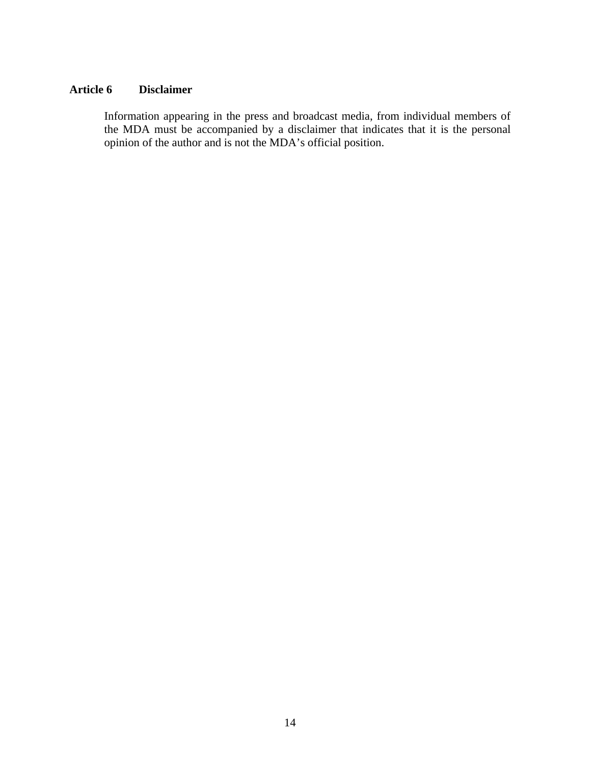#### **Article 6 Disclaimer**

Information appearing in the press and broadcast media, from individual members of the MDA must be accompanied by a disclaimer that indicates that it is the personal opinion of the author and is not the MDA's official position.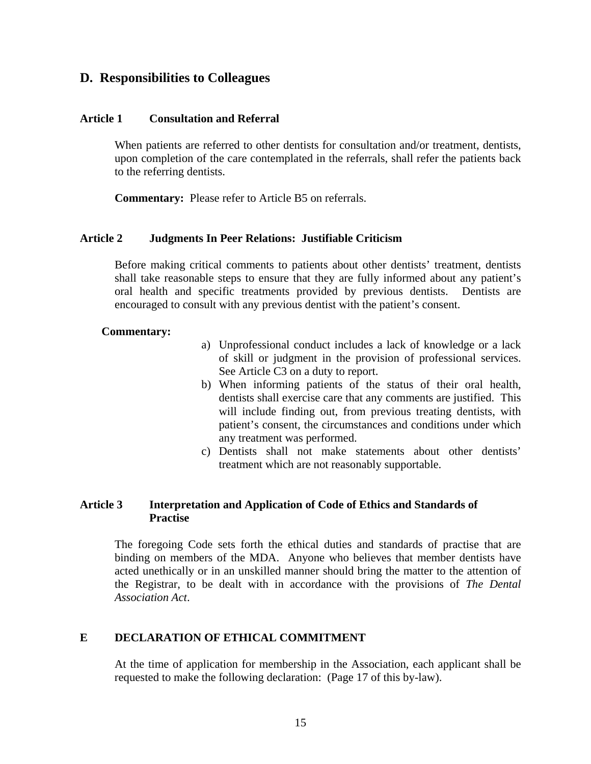## **D. Responsibilities to Colleagues**

#### **Article 1 Consultation and Referral**

When patients are referred to other dentists for consultation and/or treatment, dentists, upon completion of the care contemplated in the referrals, shall refer the patients back to the referring dentists.

**Commentary:** Please refer to Article B5 on referrals.

#### **Article 2 Judgments In Peer Relations: Justifiable Criticism**

Before making critical comments to patients about other dentists' treatment, dentists shall take reasonable steps to ensure that they are fully informed about any patient's oral health and specific treatments provided by previous dentists. Dentists are encouraged to consult with any previous dentist with the patient's consent.

#### **Commentary:**

- a) Unprofessional conduct includes a lack of knowledge or a lack of skill or judgment in the provision of professional services. See Article C3 on a duty to report.
- b) When informing patients of the status of their oral health, dentists shall exercise care that any comments are justified. This will include finding out, from previous treating dentists, with patient's consent, the circumstances and conditions under which any treatment was performed.
- c) Dentists shall not make statements about other dentists' treatment which are not reasonably supportable.

#### **Article 3 Interpretation and Application of Code of Ethics and Standards of Practise**

The foregoing Code sets forth the ethical duties and standards of practise that are binding on members of the MDA. Anyone who believes that member dentists have acted unethically or in an unskilled manner should bring the matter to the attention of the Registrar, to be dealt with in accordance with the provisions of *The Dental Association Act*.

#### **E DECLARATION OF ETHICAL COMMITMENT**

At the time of application for membership in the Association, each applicant shall be requested to make the following declaration: (Page 17 of this by-law).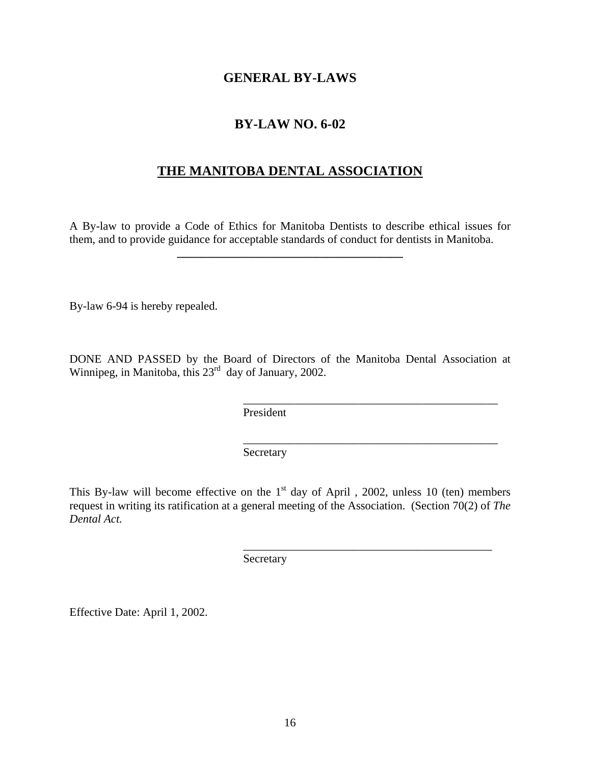### **GENERAL BY-LAWS**

## **BY-LAW NO. 6-02**

## **THE MANITOBA DENTAL ASSOCIATION**

A By-law to provide a Code of Ethics for Manitoba Dentists to describe ethical issues for them, and to provide guidance for acceptable standards of conduct for dentists in Manitoba.

**\_\_\_\_\_\_\_\_\_\_\_\_\_\_\_\_\_\_\_\_\_\_\_\_\_\_\_\_\_\_\_\_\_\_\_\_\_\_\_**

By-law 6-94 is hereby repealed.

DONE AND PASSED by the Board of Directors of the Manitoba Dental Association at Winnipeg, in Manitoba, this 23<sup>rd</sup> day of January, 2002.

\_\_\_\_\_\_\_\_\_\_\_\_\_\_\_\_\_\_\_\_\_\_\_\_\_\_\_\_\_\_\_\_\_\_\_\_\_\_\_\_\_\_\_\_

\_\_\_\_\_\_\_\_\_\_\_\_\_\_\_\_\_\_\_\_\_\_\_\_\_\_\_\_\_\_\_\_\_\_\_\_\_\_\_\_\_\_\_\_

\_\_\_\_\_\_\_\_\_\_\_\_\_\_\_\_\_\_\_\_\_\_\_\_\_\_\_\_\_\_\_\_\_\_\_\_\_\_\_\_\_\_\_

President

Secretary

This By-law will become effective on the  $1<sup>st</sup>$  day of April , 2002, unless 10 (ten) members request in writing its ratification at a general meeting of the Association. (Section 70(2) of *The Dental Act.*

Secretary

Effective Date: April 1, 2002.